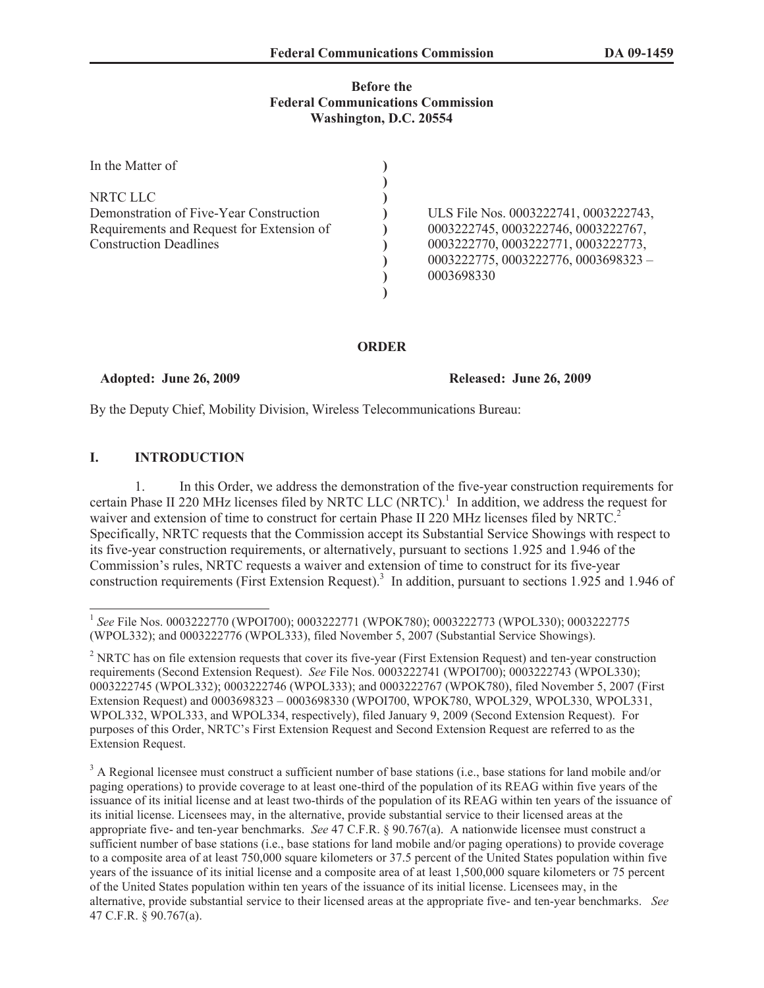## **Before the Federal Communications Commission Washington, D.C. 20554**

| In the Matter of                                                                                                                  |                                                                                                                                                                             |
|-----------------------------------------------------------------------------------------------------------------------------------|-----------------------------------------------------------------------------------------------------------------------------------------------------------------------------|
| NRTC LLC<br>Demonstration of Five-Year Construction<br>Requirements and Request for Extension of<br><b>Construction Deadlines</b> | ULS File Nos. 0003222741, 0003222743,<br>0003222745, 0003222746, 0003222767,<br>0003222770, 0003222771, 0003222773,<br>$0003222775, 0003222776, 0003698323 -$<br>0003698330 |

#### **ORDER**

#### **Adopted: June 26, 2009 Released: June 26, 2009**

By the Deputy Chief, Mobility Division, Wireless Telecommunications Bureau:

### **I. INTRODUCTION**

1. In this Order, we address the demonstration of the five-year construction requirements for certain Phase II 220 MHz licenses filed by NRTC LLC  $(NRTC)^1$  In addition, we address the request for waiver and extension of time to construct for certain Phase II 220 MHz licenses filed by NRTC.<sup>2</sup> Specifically, NRTC requests that the Commission accept its Substantial Service Showings with respect to its five-year construction requirements, or alternatively, pursuant to sections 1.925 and 1.946 of the Commission's rules, NRTC requests a waiver and extension of time to construct for its five-year construction requirements (First Extension Request).<sup>3</sup> In addition, pursuant to sections 1.925 and 1.946 of

<sup>1</sup> *See* File Nos. 0003222770 (WPOI700); 0003222771 (WPOK780); 0003222773 (WPOL330); 0003222775 (WPOL332); and 0003222776 (WPOL333), filed November 5, 2007 (Substantial Service Showings).

<sup>&</sup>lt;sup>2</sup> NRTC has on file extension requests that cover its five-year (First Extension Request) and ten-year construction requirements (Second Extension Request). *See* File Nos. 0003222741 (WPOI700); 0003222743 (WPOL330); 0003222745 (WPOL332); 0003222746 (WPOL333); and 0003222767 (WPOK780), filed November 5, 2007 (First Extension Request) and 0003698323 – 0003698330 (WPOI700, WPOK780, WPOL329, WPOL330, WPOL331, WPOL332, WPOL333, and WPOL334, respectively), filed January 9, 2009 (Second Extension Request). For purposes of this Order, NRTC's First Extension Request and Second Extension Request are referred to as the Extension Request.

<sup>&</sup>lt;sup>3</sup> A Regional licensee must construct a sufficient number of base stations (i.e., base stations for land mobile and/or paging operations) to provide coverage to at least one-third of the population of its REAG within five years of the issuance of its initial license and at least two-thirds of the population of its REAG within ten years of the issuance of its initial license. Licensees may, in the alternative, provide substantial service to their licensed areas at the appropriate five- and ten-year benchmarks. *See* 47 C.F.R. § 90.767(a). A nationwide licensee must construct a sufficient number of base stations (i.e., base stations for land mobile and/or paging operations) to provide coverage to a composite area of at least 750,000 square kilometers or 37.5 percent of the United States population within five years of the issuance of its initial license and a composite area of at least 1,500,000 square kilometers or 75 percent of the United States population within ten years of the issuance of its initial license. Licensees may, in the alternative, provide substantial service to their licensed areas at the appropriate five- and ten-year benchmarks. *See*  47 C.F.R. § 90.767(a).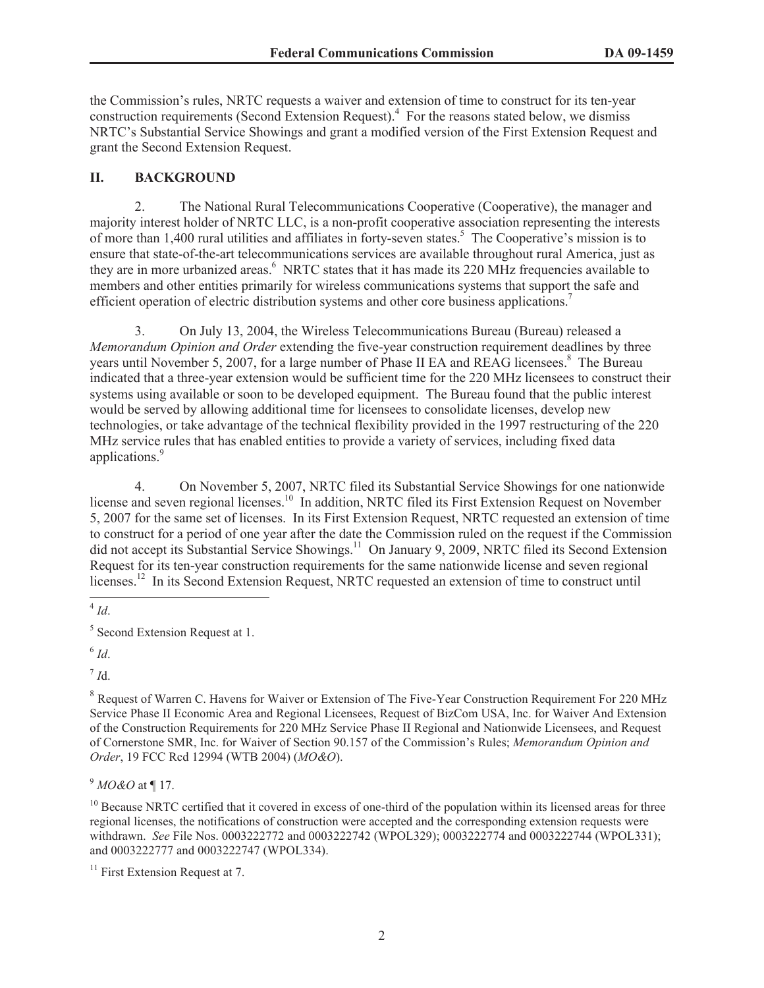the Commission's rules, NRTC requests a waiver and extension of time to construct for its ten-year construction requirements (Second Extension Request).<sup>4</sup> For the reasons stated below, we dismiss NRTC's Substantial Service Showings and grant a modified version of the First Extension Request and grant the Second Extension Request.

## **II. BACKGROUND**

2. The National Rural Telecommunications Cooperative (Cooperative), the manager and majority interest holder of NRTC LLC, is a non-profit cooperative association representing the interests of more than 1,400 rural utilities and affiliates in forty-seven states.<sup>5</sup> The Cooperative's mission is to ensure that state-of-the-art telecommunications services are available throughout rural America, just as they are in more urbanized areas.<sup>6</sup> NRTC states that it has made its 220 MHz frequencies available to members and other entities primarily for wireless communications systems that support the safe and efficient operation of electric distribution systems and other core business applications.<sup>7</sup>

3. On July 13, 2004, the Wireless Telecommunications Bureau (Bureau) released a *Memorandum Opinion and Order* extending the five-year construction requirement deadlines by three years until November 5, 2007, for a large number of Phase II EA and REAG licensees.<sup>8</sup> The Bureau indicated that a three-year extension would be sufficient time for the 220 MHz licensees to construct their systems using available or soon to be developed equipment. The Bureau found that the public interest would be served by allowing additional time for licensees to consolidate licenses, develop new technologies, or take advantage of the technical flexibility provided in the 1997 restructuring of the 220 MHz service rules that has enabled entities to provide a variety of services, including fixed data applications.<sup>9</sup>

4. On November 5, 2007, NRTC filed its Substantial Service Showings for one nationwide license and seven regional licenses.<sup>10</sup> In addition, NRTC filed its First Extension Request on November 5, 2007 for the same set of licenses. In its First Extension Request, NRTC requested an extension of time to construct for a period of one year after the date the Commission ruled on the request if the Commission did not accept its Substantial Service Showings.<sup>11</sup> On January 9, 2009, NRTC filed its Second Extension Request for its ten-year construction requirements for the same nationwide license and seven regional licenses.<sup>12</sup> In its Second Extension Request, NRTC requested an extension of time to construct until

7 *I*d.

<sup>9</sup> *MO&O* at ¶ 17.

<sup>4</sup> *Id*.

<sup>&</sup>lt;sup>5</sup> Second Extension Request at 1.

<sup>6</sup> *Id*.

<sup>&</sup>lt;sup>8</sup> Request of Warren C. Havens for Waiver or Extension of The Five-Year Construction Requirement For 220 MHz Service Phase II Economic Area and Regional Licensees, Request of BizCom USA, Inc. for Waiver And Extension of the Construction Requirements for 220 MHz Service Phase II Regional and Nationwide Licensees, and Request of Cornerstone SMR, Inc. for Waiver of Section 90.157 of the Commission's Rules; *Memorandum Opinion and Order*, 19 FCC Rcd 12994 (WTB 2004) (*MO&O*).

 $10$  Because NRTC certified that it covered in excess of one-third of the population within its licensed areas for three regional licenses, the notifications of construction were accepted and the corresponding extension requests were withdrawn. *See* File Nos. 0003222772 and 0003222742 (WPOL329); 0003222774 and 0003222744 (WPOL331); and 0003222777 and 0003222747 (WPOL334).

 $11$  First Extension Request at 7.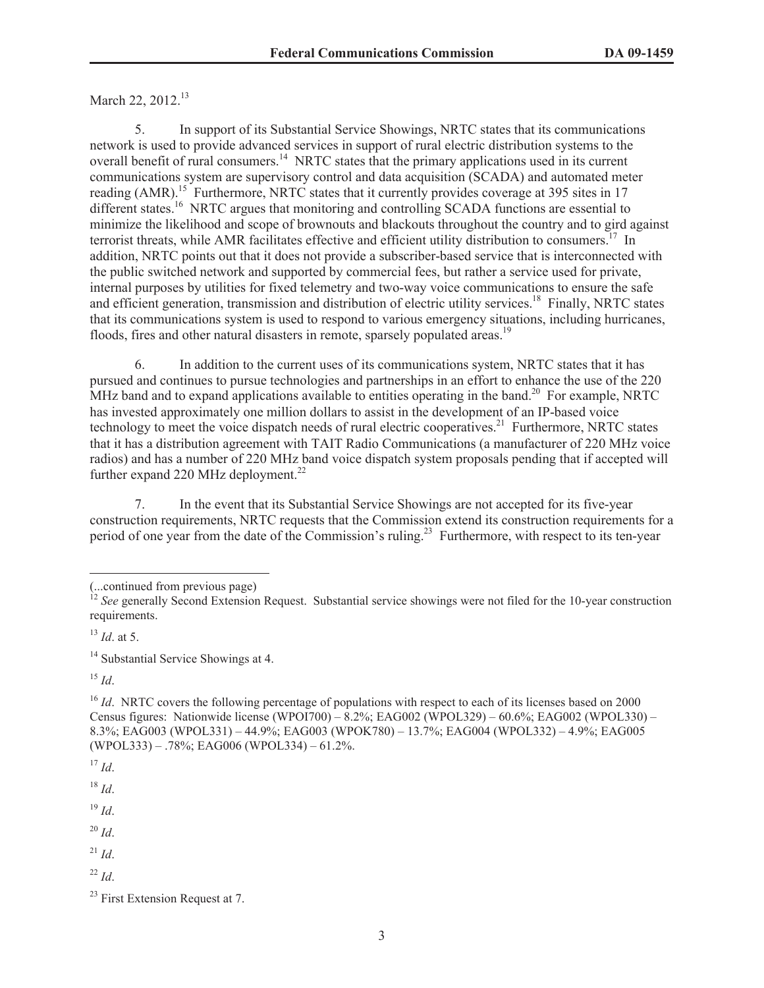# March 22, 2012.<sup>13</sup>

5. In support of its Substantial Service Showings, NRTC states that its communications network is used to provide advanced services in support of rural electric distribution systems to the overall benefit of rural consumers.<sup>14</sup> NRTC states that the primary applications used in its current communications system are supervisory control and data acquisition (SCADA) and automated meter reading (AMR).<sup>15</sup> Furthermore, NRTC states that it currently provides coverage at 395 sites in 17 different states.<sup>16</sup> NRTC argues that monitoring and controlling SCADA functions are essential to minimize the likelihood and scope of brownouts and blackouts throughout the country and to gird against terrorist threats, while AMR facilitates effective and efficient utility distribution to consumers.<sup>17</sup> In addition, NRTC points out that it does not provide a subscriber-based service that is interconnected with the public switched network and supported by commercial fees, but rather a service used for private, internal purposes by utilities for fixed telemetry and two-way voice communications to ensure the safe and efficient generation, transmission and distribution of electric utility services.<sup>18</sup> Finally, NRTC states that its communications system is used to respond to various emergency situations, including hurricanes, floods, fires and other natural disasters in remote, sparsely populated areas.<sup>19</sup>

6. In addition to the current uses of its communications system, NRTC states that it has pursued and continues to pursue technologies and partnerships in an effort to enhance the use of the 220 MHz band and to expand applications available to entities operating in the band.<sup>20</sup> For example, NRTC has invested approximately one million dollars to assist in the development of an IP-based voice technology to meet the voice dispatch needs of rural electric cooperatives.<sup>21</sup> Furthermore, NRTC states that it has a distribution agreement with TAIT Radio Communications (a manufacturer of 220 MHz voice radios) and has a number of 220 MHz band voice dispatch system proposals pending that if accepted will further expand 220 MHz deployment.<sup>22</sup>

7. In the event that its Substantial Service Showings are not accepted for its five-year construction requirements, NRTC requests that the Commission extend its construction requirements for a period of one year from the date of the Commission's ruling.<sup>23</sup> Furthermore, with respect to its ten-year

<sup>15</sup> *Id*.

 $17$  *Id.* 

<sup>18</sup> *Id*.

<sup>19</sup> *Id*.

- $^{20}$  *Id*.
- $^{21}$  *Id.*

 $^{22}$  *Id*.

<sup>(...</sup>continued from previous page)

<sup>&</sup>lt;sup>12</sup> See generally Second Extension Request. Substantial service showings were not filed for the 10-year construction requirements.

 $^{13}$  *Id.* at 5.

<sup>&</sup>lt;sup>14</sup> Substantial Service Showings at 4.

<sup>&</sup>lt;sup>16</sup> *Id.* NRTC covers the following percentage of populations with respect to each of its licenses based on 2000 Census figures: Nationwide license (WPOI700) – 8.2%; EAG002 (WPOL329) – 60.6%; EAG002 (WPOL330) – 8.3%; EAG003 (WPOL331) – 44.9%; EAG003 (WPOK780) – 13.7%; EAG004 (WPOL332) – 4.9%; EAG005 (WPOL333) – .78%; EAG006 (WPOL334) – 61.2%.

 $23$  First Extension Request at 7.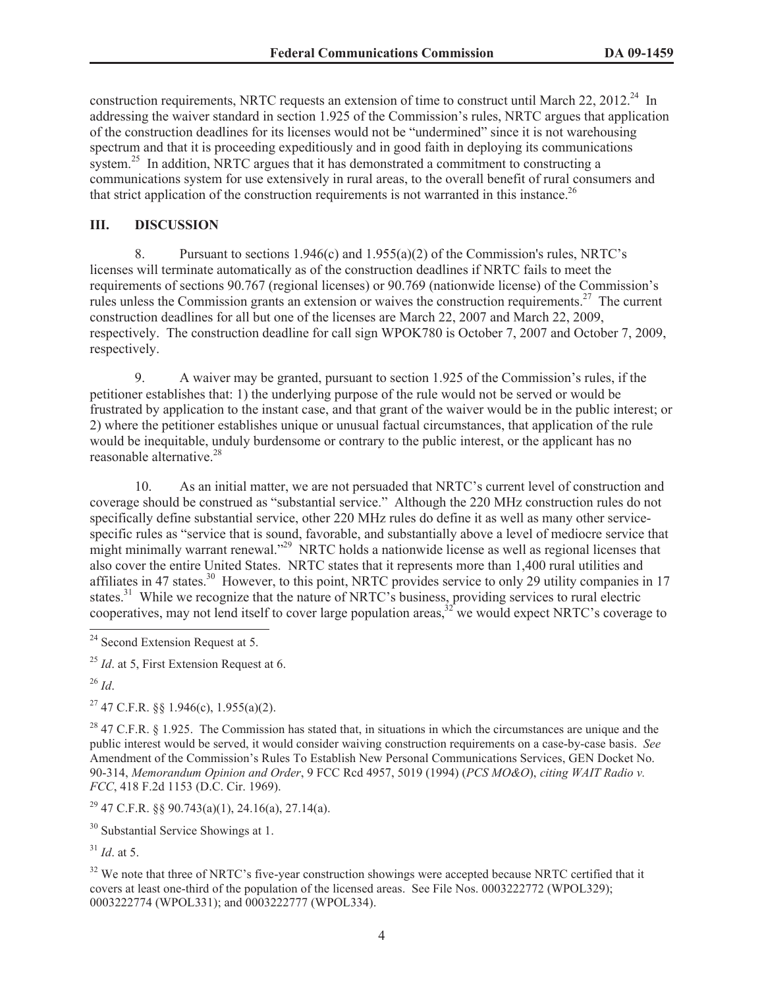construction requirements, NRTC requests an extension of time to construct until March 22, 2012.<sup>24</sup> In addressing the waiver standard in section 1.925 of the Commission's rules, NRTC argues that application of the construction deadlines for its licenses would not be "undermined" since it is not warehousing spectrum and that it is proceeding expeditiously and in good faith in deploying its communications system.<sup>25</sup> In addition, NRTC argues that it has demonstrated a commitment to constructing a communications system for use extensively in rural areas, to the overall benefit of rural consumers and that strict application of the construction requirements is not warranted in this instance.<sup>26</sup>

# **III. DISCUSSION**

8. Pursuant to sections 1.946(c) and 1.955(a)(2) of the Commission's rules, NRTC's licenses will terminate automatically as of the construction deadlines if NRTC fails to meet the requirements of sections 90.767 (regional licenses) or 90.769 (nationwide license) of the Commission's rules unless the Commission grants an extension or waives the construction requirements.<sup>27</sup> The current construction deadlines for all but one of the licenses are March 22, 2007 and March 22, 2009, respectively. The construction deadline for call sign WPOK780 is October 7, 2007 and October 7, 2009, respectively.

9. A waiver may be granted, pursuant to section 1.925 of the Commission's rules, if the petitioner establishes that: 1) the underlying purpose of the rule would not be served or would be frustrated by application to the instant case, and that grant of the waiver would be in the public interest; or 2) where the petitioner establishes unique or unusual factual circumstances, that application of the rule would be inequitable, unduly burdensome or contrary to the public interest, or the applicant has no reasonable alternative.<sup>28</sup>

10. As an initial matter, we are not persuaded that NRTC's current level of construction and coverage should be construed as "substantial service." Although the 220 MHz construction rules do not specifically define substantial service, other 220 MHz rules do define it as well as many other servicespecific rules as "service that is sound, favorable, and substantially above a level of mediocre service that might minimally warrant renewal."<sup>29</sup> NRTC holds a nationwide license as well as regional licenses that also cover the entire United States. NRTC states that it represents more than 1,400 rural utilities and affiliates in 47 states.<sup>30</sup> However, to this point, NRTC provides service to only 29 utility companies in 17 states.<sup>31</sup> While we recognize that the nature of NRTC's business, providing services to rural electric cooperatives, may not lend itself to cover large population areas,  $32^{\circ}$  we would expect NRTC's coverage to

<sup>25</sup> *Id*. at 5, First Extension Request at 6.

<sup>26</sup> *Id*.

<sup>27</sup> 47 C.F.R. §§ 1.946(c), 1.955(a)(2).

<sup>28</sup> 47 C.F.R. § 1.925. The Commission has stated that, in situations in which the circumstances are unique and the public interest would be served, it would consider waiving construction requirements on a case-by-case basis. *See* Amendment of the Commission's Rules To Establish New Personal Communications Services, GEN Docket No. 90-314, *Memorandum Opinion and Order*, 9 FCC Rcd 4957, 5019 (1994) (*PCS MO&O*), *citing WAIT Radio v. FCC*, 418 F.2d 1153 (D.C. Cir. 1969).

 $29$  47 C.F.R. §§ 90.743(a)(1), 24.16(a), 27.14(a).

<sup>30</sup> Substantial Service Showings at 1.

 $31$  *Id.* at 5.

<sup>32</sup> We note that three of NRTC's five-year construction showings were accepted because NRTC certified that it covers at least one-third of the population of the licensed areas. See File Nos. 0003222772 (WPOL329); 0003222774 (WPOL331); and 0003222777 (WPOL334).

<sup>&</sup>lt;sup>24</sup> Second Extension Request at 5.